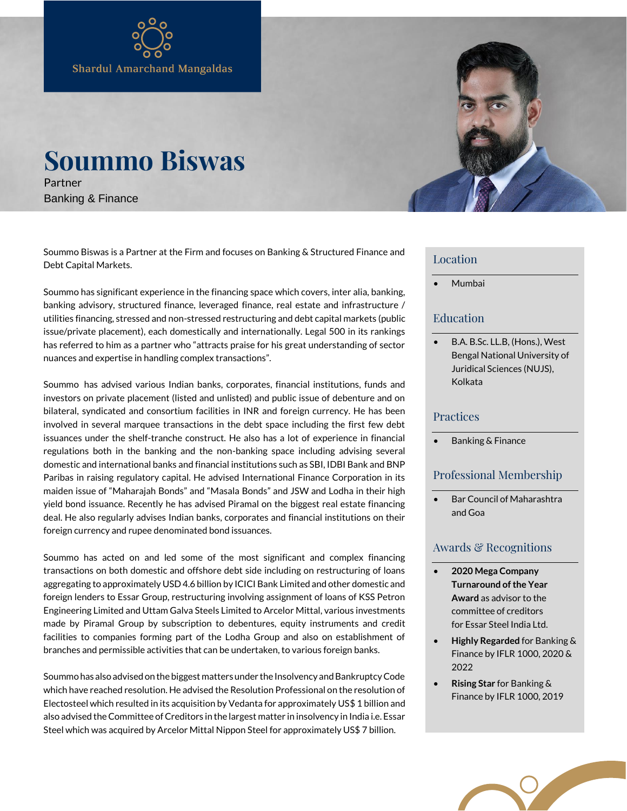# **Soummo Biswas**

Partner Banking & Finance

Soummo Biswas is a Partner at the Firm and focuses on Banking & Structured Finance and Debt Capital Markets.

Soummo has significant experience in the financing space which covers, inter alia, banking, banking advisory, structured finance, leveraged finance, real estate and infrastructure / utilities financing, stressed and non-stressed restructuring and debt capital markets (public issue/private placement), each domestically and internationally. Legal 500 in its rankings has referred to him as a partner who "attracts praise for his great understanding of sector nuances and expertise in handling complex transactions".

Soummo has advised various Indian banks, corporates, financial institutions, funds and investors on private placement (listed and unlisted) and public issue of debenture and on bilateral, syndicated and consortium facilities in INR and foreign currency. He has been involved in several marquee transactions in the debt space including the first few debt issuances under the shelf-tranche construct. He also has a lot of experience in financial regulations both in the banking and the non-banking space including advising several domestic and international banks and financial institutions such as SBI, IDBI Bank and BNP Paribas in raising regulatory capital. He advised International Finance Corporation in its maiden issue of "Maharajah Bonds" and "Masala Bonds" and JSW and Lodha in their high yield bond issuance. Recently he has advised Piramal on the biggest real estate financing deal. He also regularly advises Indian banks, corporates and financial institutions on their foreign currency and rupee denominated bond issuances.

Soummo has acted on and led some of the most significant and complex financing transactions on both domestic and offshore debt side including on restructuring of loans aggregating to approximately USD 4.6 billion by ICICI Bank Limited and other domestic and foreign lenders to Essar Group, restructuring involving assignment of loans of KSS Petron Engineering Limited and Uttam Galva Steels Limited to Arcelor Mittal, various investments made by Piramal Group by subscription to debentures, equity instruments and credit facilities to companies forming part of the Lodha Group and also on establishment of branches and permissible activities that can be undertaken, to various foreign banks.

Soummo has also advised on the biggest matters under the Insolvency and Bankruptcy Code which have reached resolution. He advised the Resolution Professional on the resolution of Electosteel which resulted in its acquisition by Vedanta for approximately US\$ 1 billion and also advised the Committee of Creditors in the largest matter in insolvency in India i.e. Essar Steel which was acquired by Arcelor Mittal Nippon Steel for approximately US\$ 7 billion.



#### Location

• Mumbai

## Education

• B.A. B.Sc. LL.B, (Hons.), West Bengal National University of Juridical Sciences (NUJS), Kolkata

#### Practices

• Banking & Finance

#### Professional Membership

• Bar Council of Maharashtra and Goa

## Awards & Recognitions

- **2020 Mega Company Turnaround of the Year Award** as advisor to the committee of creditors for Essar Steel India Ltd.
- **Highly Regarded** for Banking & Finance by IFLR 1000, 2020 & 2022
- **Rising Star** for Banking & Finance by IFLR 1000, 2019

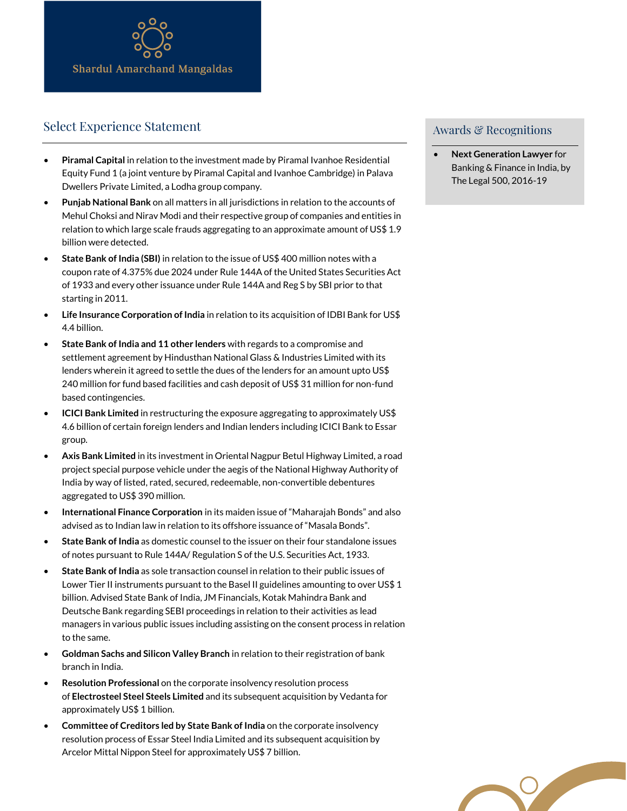

# Select Experience Statement

- **Piramal Capital** in relation to the investment made by Piramal Ivanhoe Residential Equity Fund 1 (a joint venture by Piramal Capital and Ivanhoe Cambridge) in Palava Dwellers Private Limited, a Lodha group company.
- **Punjab National Bank** on all matters in all jurisdictions in relation to the accounts of Mehul Choksi and Nirav Modi and their respective group of companies and entities in relation to which large scale frauds aggregating to an approximate amount of US\$ 1.9 billion were detected.
- **State Bank of India (SBI)** in relation to the issue of US\$ 400 million notes with a coupon rate of 4.375% due 2024 under Rule 144A of the United States Securities Act of 1933 and every other issuance under Rule 144A and Reg S by SBI prior to that starting in 2011.
- **Life Insurance Corporation of India** in relation to its acquisition of IDBI Bank for US\$ 4.4 billion.
- **State Bank of India and 11 other lenders** with regards to a compromise and settlement agreement by Hindusthan National Glass & Industries Limited with its lenders wherein it agreed to settle the dues of the lenders for an amount upto US\$ 240 million for fund based facilities and cash deposit of US\$ 31 million for non-fund based contingencies.
- **ICICI Bank Limited** in restructuring the exposure aggregating to approximately US\$ 4.6 billion of certain foreign lenders and Indian lenders including ICICI Bank to Essar group.
- **Axis Bank Limited** in its investment in Oriental Nagpur Betul Highway Limited, a road project special purpose vehicle under the aegis of the National Highway Authority of India by way of listed, rated, secured, redeemable, non-convertible debentures aggregated to US\$ 390 million.
- **International Finance Corporation** in its maiden issue of "Maharajah Bonds" and also advised as to Indian law in relation to its offshore issuance of "Masala Bonds".
- **State Bank of India** as domestic counsel to the issuer on their four standalone issues of notes pursuant to Rule 144A/ Regulation S of the U.S. Securities Act, 1933.
- **State Bank of India** as sole transaction counsel in relation to their public issues of Lower Tier II instruments pursuant to the Basel II guidelines amounting to over US\$ 1 billion. Advised State Bank of India, JM Financials, Kotak Mahindra Bank and Deutsche Bank regarding SEBI proceedings in relation to their activities as lead managers in various public issues including assisting on the consent process in relation to the same.
- **Goldman Sachs and Silicon Valley Branch** in relation to their registration of bank branch in India.
- **Resolution Professional** on the corporate insolvency resolution process of **Electrosteel Steel Steels Limited** and its subsequent acquisition by Vedanta for approximately US\$ 1 billion.
- **Committee of Creditors led by State Bank of India** on the corporate insolvency resolution process of Essar Steel India Limited and its subsequent acquisition by Arcelor Mittal Nippon Steel for approximately US\$ 7 billion.

# Awards & Recognitions

• **Next Generation Lawyer** for Banking & Finance in India, by The Legal 500, 2016-19